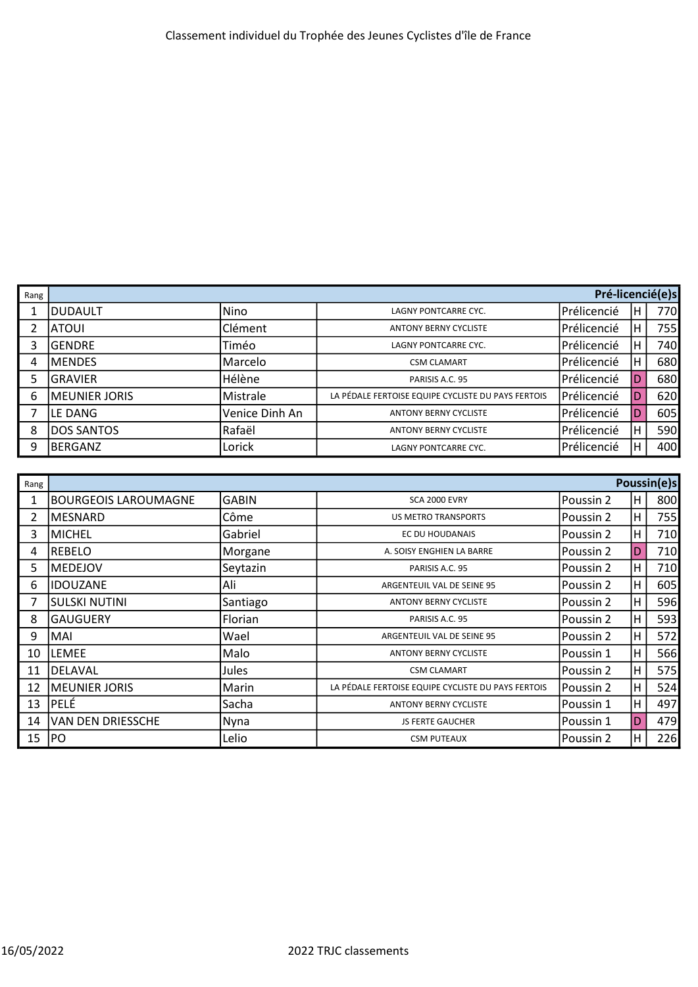| Rang |                      | Pré-licencié(e)s |                                                    |             |   |      |  |
|------|----------------------|------------------|----------------------------------------------------|-------------|---|------|--|
|      | <b>DUDAULT</b>       | Nino             | LAGNY PONTCARRE CYC.                               | Prélicencié | H | 770l |  |
| 2    | ATOUI                | Clément          | <b>ANTONY BERNY CYCLISTE</b>                       | Prélicencié | н | 755  |  |
| 3    | <b>GENDRE</b>        | Timéo            | LAGNY PONTCARRE CYC.                               | Prélicencié | н | 740  |  |
| 4    | MENDES               | Marcelo          | <b>CSM CLAMART</b>                                 | Prélicencié | н | 680  |  |
| 5    | <b>GRAVIER</b>       | Hélène           | PARISIS A.C. 95                                    | Prélicencié | D | 680  |  |
| 6    | <b>MEUNIER JORIS</b> | Mistrale         | LA PÉDALE FERTOISE EQUIPE CYCLISTE DU PAYS FERTOIS | Prélicencié | D | 620  |  |
|      | LE DANG              | Venice Dinh An   | <b>ANTONY BERNY CYCLISTE</b>                       | Prélicencié | D | 605  |  |
| 8    | <b>DOS SANTOS</b>    | Rafaël           | <b>ANTONY BERNY CYCLISTE</b>                       | Prélicencié | н | 590  |  |
| 9    | BERGANZ              | Lorick           | <b>LAGNY PONTCARRE CYC.</b>                        | Prélicencié | H | 400  |  |

| Rang |                             |                |                                                    |            |     | Poussin(e)s     |
|------|-----------------------------|----------------|----------------------------------------------------|------------|-----|-----------------|
|      | <b>BOURGEOIS LAROUMAGNE</b> | <b>GABIN</b>   | <b>SCA 2000 EVRY</b>                               | Poussin 2  | H   | 800             |
| 2    | IMESNARD                    | Côme           | <b>US METRO TRANSPORTS</b>                         | Poussin 2  | H.  | 755 <sup></sup> |
| 3    | IMICHEL                     | Gabriel        | EC DU HOUDANAIS                                    | Poussin 2  | H   | 710             |
| 4    | IREBELO                     | Morgane        | A. SOISY ENGHIEN LA BARRE                          | Poussin 2  | D   | 710             |
| 5.   | IMEDEJOV                    | Seytazin       | PARISIS A.C. 95                                    | lPoussin 2 | H.  | 710             |
| 6    | <b>IDOUZANE</b>             | Ali            | ARGENTEUIL VAL DE SEINE 95                         | lPoussin 2 | H   | 605             |
| 7    | <b>SULSKI NUTINI</b>        | Santiago       | <b>ANTONY BERNY CYCLISTE</b>                       | Poussin 2  | H   | 596             |
| 8    | <b>GAUGUERY</b>             | <b>Florian</b> | PARISIS A.C. 95                                    | Poussin 2  | H.  | 593             |
| 9    | IMAI                        | Wael           | ARGENTEUIL VAL DE SEINE 95                         | lPoussin 2 | H   | 572             |
| 10   | ILEMEE                      | Malo           | <b>ANTONY BERNY CYCLISTE</b>                       | lPoussin 1 | H   | 566             |
| 11   | IDELAVAL                    | Jules          | <b>CSM CLAMART</b>                                 | Poussin 2  | H.  | 575             |
| 12   | <b>IMEUNIER JORIS</b>       | Marin          | LA PÉDALE FERTOISE EQUIPE CYCLISTE DU PAYS FERTOIS | lPoussin 2 | H   | 524             |
| 13   | <b>PELÉ</b>                 | Sacha          | <b>ANTONY BERNY CYCLISTE</b>                       | Poussin 1  | H   | 497             |
| 14   | VAN DEN DRIESSCHE           | Nyna           | <b>JS FERTE GAUCHER</b>                            | lPoussin 1 | ID. | 479             |
| 15   | PO                          | Lelio          | <b>CSM PUTEAUX</b>                                 | Poussin 2  | H   | 226             |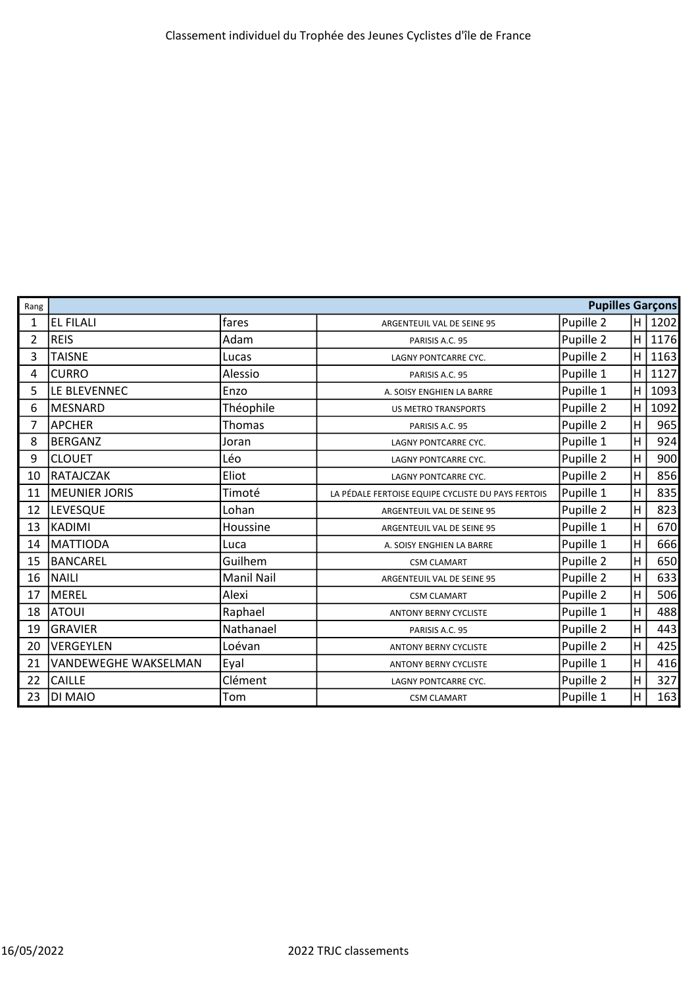| Rang           | <b>Pupilles Garçons</b>     |                   |                                                    |           |                |      |
|----------------|-----------------------------|-------------------|----------------------------------------------------|-----------|----------------|------|
| 1              | <b>EL FILALI</b>            | fares             | ARGENTEUIL VAL DE SEINE 95                         | Pupille 2 | H              | 1202 |
| $\overline{2}$ | <b>REIS</b>                 | Adam              | PARISIS A.C. 95                                    | Pupille 2 | H              | 1176 |
| 3              | <b>TAISNE</b>               | Lucas             | LAGNY PONTCARRE CYC.                               | Pupille 2 | H              | 1163 |
| 4              | <b>CURRO</b>                | Alessio           | PARISIS A.C. 95                                    | Pupille 1 | H              | 1127 |
| 5              | LE BLEVENNEC                | Enzo              | A. SOISY ENGHIEN LA BARRE                          | Pupille 1 | $\overline{H}$ | 1093 |
| 6              | MESNARD                     | Théophile         | <b>US METRO TRANSPORTS</b>                         | Pupille 2 | H              | 1092 |
| 7              | <b>APCHER</b>               | <b>Thomas</b>     | PARISIS A.C. 95                                    | Pupille 2 | $\overline{H}$ | 965  |
| 8              | BERGANZ                     | Joran             | LAGNY PONTCARRE CYC.                               | Pupille 1 | $\overline{H}$ | 924  |
| 9              | <b>CLOUET</b>               | Léo               | LAGNY PONTCARRE CYC.                               | Pupille 2 | H              | 900  |
| 10             | RATAJCZAK                   | Eliot             | LAGNY PONTCARRE CYC.                               | Pupille 2 | H              | 856  |
| 11             | MEUNIER JORIS               | Timoté            | LA PÉDALE FERTOISE EQUIPE CYCLISTE DU PAYS FERTOIS | Pupille 1 | Η              | 835  |
| 12             | <b>LEVESQUE</b>             | Lohan             | ARGENTEUIL VAL DE SEINE 95                         | Pupille 2 | $\overline{H}$ | 823  |
| 13             | KADIMI                      | Houssine          | ARGENTEUIL VAL DE SEINE 95                         | Pupille 1 | $\overline{H}$ | 670  |
| 14             | MATTIODA                    | Luca              | A. SOISY ENGHIEN LA BARRE                          | Pupille 1 | $\overline{H}$ | 666  |
| 15             | BANCAREL                    | Guilhem           | <b>CSM CLAMART</b>                                 | Pupille 2 | $\overline{H}$ | 650  |
| 16             | NAILI                       | <b>Manil Nail</b> | ARGENTEUIL VAL DE SEINE 95                         | Pupille 2 | Η              | 633  |
| 17             | MEREL                       | Alexi             | <b>CSM CLAMART</b>                                 | Pupille 2 | $\overline{H}$ | 506  |
| 18             | <b>ATOUI</b>                | Raphael           | <b>ANTONY BERNY CYCLISTE</b>                       | Pupille 1 | H              | 488  |
| 19             | <b>GRAVIER</b>              | Nathanael         | PARISIS A.C. 95                                    | Pupille 2 | $\overline{H}$ | 443  |
| 20             | VERGEYLEN                   | Loévan            | <b>ANTONY BERNY CYCLISTE</b>                       | Pupille 2 | H              | 425  |
| 21             | <b>VANDEWEGHE WAKSELMAN</b> | Eyal              | <b>ANTONY BERNY CYCLISTE</b>                       | Pupille 1 | $\overline{H}$ | 416  |
| 22             | <b>CAILLE</b>               | Clément           | LAGNY PONTCARRE CYC.                               | Pupille 2 | $\overline{H}$ | 327  |
| 23             | DI MAIO                     | Tom               | <b>CSM CLAMART</b>                                 | Pupille 1 | $\overline{H}$ | 163  |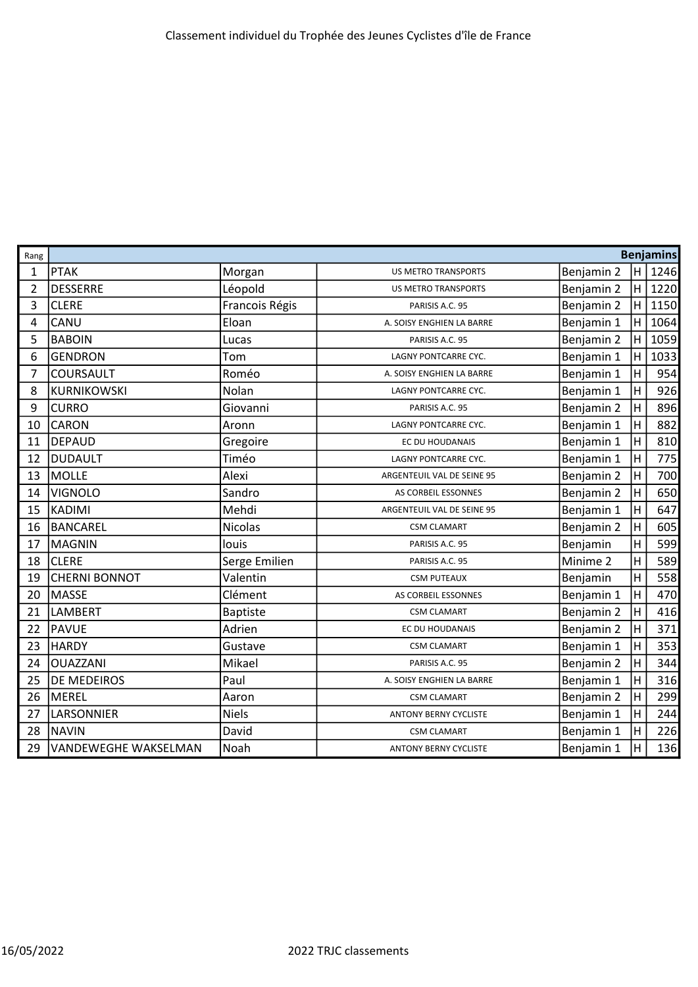| Rang |                             | <b>Benjamins</b> |                              |            |                |      |  |
|------|-----------------------------|------------------|------------------------------|------------|----------------|------|--|
| 1    | <b>PTAK</b>                 | Morgan           | <b>US METRO TRANSPORTS</b>   | Benjamin 2 | H              | 1246 |  |
| 2    | <b>DESSERRE</b>             | Léopold          | <b>US METRO TRANSPORTS</b>   | Benjamin 2 | H              | 1220 |  |
| 3    | <b>CLERE</b>                | Francois Régis   | PARISIS A.C. 95              | Benjamin 2 | $\sf H$        | 1150 |  |
| 4    | CANU                        | Eloan            | A. SOISY ENGHIEN LA BARRE    | Benjamin 1 | H              | 1064 |  |
| 5    | <b>BABOIN</b>               | Lucas            | PARISIS A.C. 95              | Benjamin 2 | $\sf H$        | 1059 |  |
| 6    | <b>GENDRON</b>              | Tom              | LAGNY PONTCARRE CYC.         | Benjamin 1 | Η              | 1033 |  |
| 7    | COURSAULT                   | Roméo            | A. SOISY ENGHIEN LA BARRE    | Benjamin 1 | Η              | 954  |  |
| 8    | <b>KURNIKOWSKI</b>          | Nolan            | LAGNY PONTCARRE CYC.         | Benjamin 1 | H              | 926  |  |
| 9    | <b>CURRO</b>                | Giovanni         | PARISIS A.C. 95              | Benjamin 2 | H              | 896  |  |
| 10   | <b>CARON</b>                | Aronn            | LAGNY PONTCARRE CYC.         | Benjamin 1 | H              | 882  |  |
| 11   | <b>DEPAUD</b>               | Gregoire         | EC DU HOUDANAIS              | Benjamin 1 | Η              | 810  |  |
| 12   | <b>DUDAULT</b>              | Timéo            | <b>LAGNY PONTCARRE CYC.</b>  | Benjamin 1 | H              | 775  |  |
| 13   | <b>MOLLE</b>                | Alexi            | ARGENTEUIL VAL DE SEINE 95   | Benjamin 2 | Η              | 700  |  |
| 14   | <b>VIGNOLO</b>              | Sandro           | AS CORBEIL ESSONNES          | Benjamin 2 | H              | 650  |  |
| 15   | <b>KADIMI</b>               | Mehdi            | ARGENTEUIL VAL DE SEINE 95   | Benjamin 1 | H              | 647  |  |
| 16   | <b>BANCAREL</b>             | <b>Nicolas</b>   | <b>CSM CLAMART</b>           | Benjamin 2 | H              | 605  |  |
| 17   | <b>MAGNIN</b>               | louis            | PARISIS A.C. 95              | Benjamin   | H              | 599  |  |
| 18   | <b>CLERE</b>                | Serge Emilien    | PARISIS A.C. 95              | Minime 2   | Η              | 589  |  |
| 19   | <b>CHERNI BONNOT</b>        | Valentin         | <b>CSM PUTEAUX</b>           | Benjamin   | H              | 558  |  |
| 20   | MASSE                       | Clément          | AS CORBEIL ESSONNES          | Benjamin 1 | H              | 470  |  |
| 21   | <b>LAMBERT</b>              | <b>Baptiste</b>  | <b>CSM CLAMART</b>           | Benjamin 2 | $\overline{H}$ | 416  |  |
| 22   | <b>PAVUE</b>                | Adrien           | EC DU HOUDANAIS              | Benjamin 2 | H              | 371  |  |
| 23   | <b>HARDY</b>                | Gustave          | <b>CSM CLAMART</b>           | Benjamin 1 | Η              | 353  |  |
| 24   | <b>OUAZZANI</b>             | Mikael           | PARISIS A.C. 95              | Benjamin 2 | H              | 344  |  |
| 25   | <b>DE MEDEIROS</b>          | Paul             | A. SOISY ENGHIEN LA BARRE    | Benjamin 1 | Η              | 316  |  |
| 26   | <b>MEREL</b>                | Aaron            | <b>CSM CLAMART</b>           | Benjamin 2 | H              | 299  |  |
| 27   | LARSONNIER                  | <b>Niels</b>     | <b>ANTONY BERNY CYCLISTE</b> | Benjamin 1 | Η              | 244  |  |
| 28   | <b>NAVIN</b>                | David            | <b>CSM CLAMART</b>           | Benjamin 1 | H              | 226  |  |
| 29   | <b>VANDEWEGHE WAKSELMAN</b> | Noah             | <b>ANTONY BERNY CYCLISTE</b> | Benjamin 1 | $\overline{H}$ | 136  |  |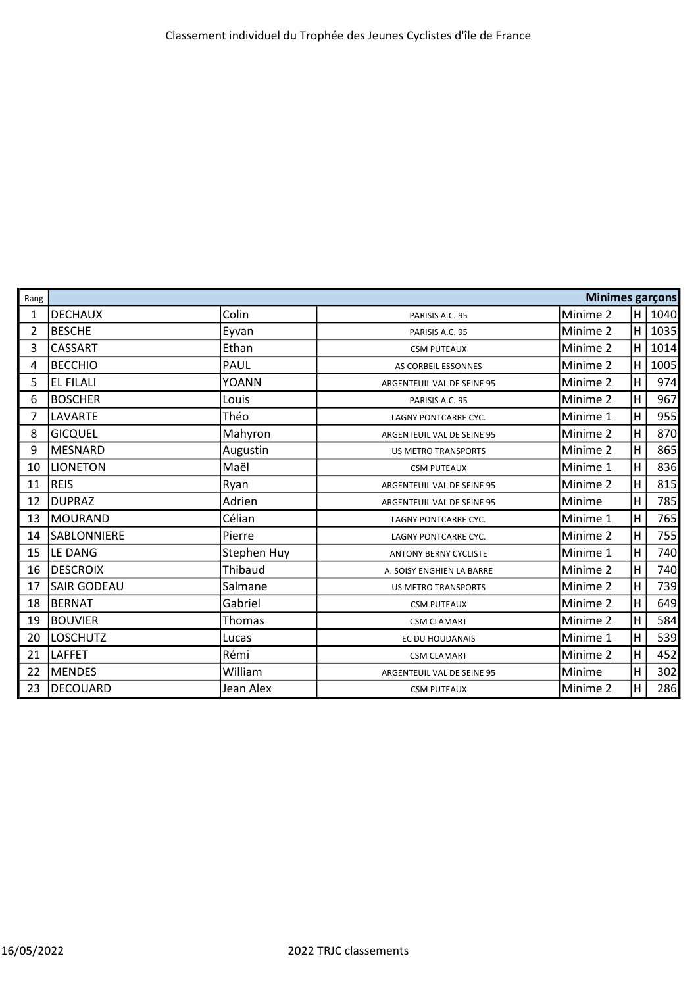| Rang           | <b>Minimes garçons</b> |             |                              |          |                         |      |
|----------------|------------------------|-------------|------------------------------|----------|-------------------------|------|
| $\mathbf{1}$   | <b>DECHAUX</b>         | Colin       | PARISIS A.C. 95              | Minime 2 | H                       | 1040 |
| $\overline{2}$ | <b>BESCHE</b>          | Eyvan       | PARISIS A.C. 95              | Minime 2 | $\overline{\mathsf{H}}$ | 1035 |
| 3              | <b>CASSART</b>         | Ethan       | <b>CSM PUTEAUX</b>           | Minime 2 | $\overline{\mathsf{H}}$ | 1014 |
| 4              | <b>BECCHIO</b>         | PAUL        | AS CORBEIL ESSONNES          | Minime 2 | H                       | 1005 |
| 5              | <b>EL FILALI</b>       | YOANN       | ARGENTEUIL VAL DE SEINE 95   | Minime 2 | $\overline{\mathsf{H}}$ | 974  |
| 6              | <b>BOSCHER</b>         | Louis       | PARISIS A.C. 95              | Minime 2 | $\overline{\mathsf{H}}$ | 967  |
| 7              | LAVARTE                | Théo        | LAGNY PONTCARRE CYC.         | Minime 1 | $\overline{\mathsf{H}}$ | 955  |
| 8              | <b>GICQUEL</b>         | Mahyron     | ARGENTEUIL VAL DE SEINE 95   | Minime 2 | $\overline{\mathsf{H}}$ | 870  |
| 9              | <b>MESNARD</b>         | Augustin    | <b>US METRO TRANSPORTS</b>   | Minime 2 | H                       | 865  |
| 10             | <b>LIONETON</b>        | Maël        | <b>CSM PUTEAUX</b>           | Minime 1 | $\overline{\mathsf{H}}$ | 836  |
| 11             | <b>REIS</b>            | Ryan        | ARGENTEUIL VAL DE SEINE 95   | Minime 2 | $\overline{\mathsf{H}}$ | 815  |
| 12             | <b>DUPRAZ</b>          | Adrien      | ARGENTEUIL VAL DE SEINE 95   | Minime   | H                       | 785  |
| 13             | <b>MOURAND</b>         | Célian      | LAGNY PONTCARRE CYC.         | Minime 1 | H                       | 765  |
| 14             | <b>SABLONNIERE</b>     | Pierre      | LAGNY PONTCARRE CYC.         | Minime 2 | H                       | 755  |
| 15             | LE DANG                | Stephen Huy | <b>ANTONY BERNY CYCLISTE</b> | Minime 1 | H                       | 740  |
| 16             | <b>DESCROIX</b>        | Thibaud     | A. SOISY ENGHIEN LA BARRE    | Minime 2 | H                       | 740  |
| 17             | <b>SAIR GODEAU</b>     | Salmane     | <b>US METRO TRANSPORTS</b>   | Minime 2 | Η                       | 739  |
| 18             | BERNAT                 | Gabriel     | <b>CSM PUTEAUX</b>           | Minime 2 | Η                       | 649  |
| 19             | <b>BOUVIER</b>         | Thomas      | <b>CSM CLAMART</b>           | Minime 2 | H                       | 584  |
| 20             | <b>LOSCHUTZ</b>        | Lucas       | EC DU HOUDANAIS              | Minime 1 | H                       | 539  |
| 21             | <b>LAFFET</b>          | Rémi        | <b>CSM CLAMART</b>           | Minime 2 | $\overline{\mathsf{H}}$ | 452  |
| 22             | <b>MENDES</b>          | William     | ARGENTEUIL VAL DE SEINE 95   | Minime   | $\overline{\mathsf{H}}$ | 302  |
| 23             | <b>DECOUARD</b>        | Jean Alex   | <b>CSM PUTEAUX</b>           | Minime 2 | $\overline{\mathsf{H}}$ | 286  |